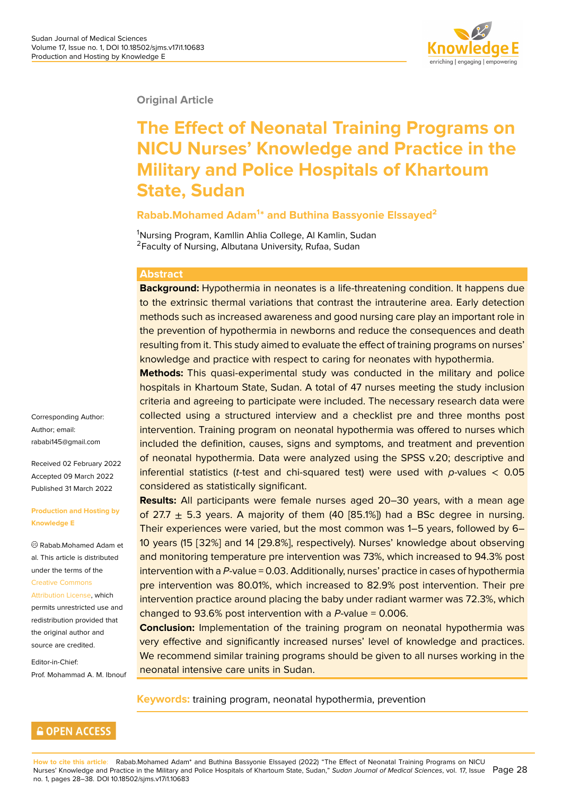

#### **Original Article**

# **The Effect of Neonatal Training Programs on NICU Nurses' Knowledge and Practice in the Military and Police Hospitals of Khartoum State, Sudan**

#### **Rabab.Mohamed Adam<sup>1</sup> \* and Buthina Bassyonie Elssayed<sup>2</sup>**

<sup>1</sup>Nursing Program, Kamllin Ahlia College, Al Kamlin, Sudan <sup>2</sup>Faculty of Nursing, Albutana University, Rufaa, Sudan

#### **Abstract**

**Background:** Hypothermia in neonates is a life-threatening condition. It happens due to the extrinsic thermal variations that contrast the intrauterine area. Early detection methods such as increased awareness and good nursing care play an important role in the prevention of hypothermia in newborns and reduce the consequences and death resulting from it. This study aimed to evaluate the effect of training programs on nurses' knowledge and practice with respect to caring for neonates with hypothermia.

**Methods:** This quasi-experimental study was conducted in the military and police hospitals in Khartoum State, Sudan. A total of 47 nurses meeting the study inclusion criteria and agreeing to participate were included. The necessary research data were collected using a structured interview and a checklist pre and three months post intervention. Training program on neonatal hypothermia was offered to nurses which included the definition, causes, signs and symptoms, and treatment and prevention of neonatal hypothermia. Data were analyzed using the SPSS v.20; descriptive and inferential statistics (*t*-test and chi-squared test) were used with *p*-values < 0.05 considered as statistically significant.

**Results:** All participants were female nurses aged 20–30 years, with a mean age of 27.7  $\pm$  5.3 years. A majority of them (40 [85.1%]) had a BSc degree in nursing. Their experiences were varied, but the most common was 1–5 years, followed by 6– 10 years (15 [32%] and 14 [29.8%], respectively). Nurses' knowledge about observing and monitoring temperature pre intervention was 73%, which increased to 94.3% post intervention with a *P*-value = 0.03. Additionally, nurses' practice in cases of hypothermia pre intervention was 80.01%, which increased to 82.9% post intervention. Their pre intervention practice around placing the baby under radiant warmer was 72.3%, which changed to 93.6% post intervention with a *P*-value = 0.006.

**Conclusion:** Implementation of the training program on neonatal hypothermia was very effective and significantly increased nurses' level of knowledge and practices. We recommend similar training programs should be given to all nurses working in the neonatal intensive care units in Sudan.

**Keywords:** training program, neonatal hypothermia, prevention

Corresponding Author: Author; email: rababi145@gmail.com

Received 02 February 2022 Accepted 09 March 2022 [Published 31 March 20](mailto:rababi145@gmail.com)22

#### **Production and Hosting by Knowledge E**

Rabab.Mohamed Adam et al. This article is distributed under the terms of the Creative Commons Attribution License, which permits unrestricted use and redistribution provided that [the original author](https://creativecommons.org/licenses/by/4.0/) and [source are credited](https://creativecommons.org/licenses/by/4.0/).

Editor-in-Chief: Prof. Mohammad A. M. Ibnouf

#### **GOPEN ACCESS**

**How to cite this article**: Rabab.Mohamed Adam\* and Buthina Bassyonie Elssayed (2022) "The Effect of Neonatal Training Programs on NICU Nurses' Knowledge and Practice in the Military and Police Hospitals of Khartoum State, Sudan," Sudan Journal of Medical Sciences, vol. 17, Issue Page 28 no. 1, pages 28–38. DOI 10.18502/sjms.v17i1.10683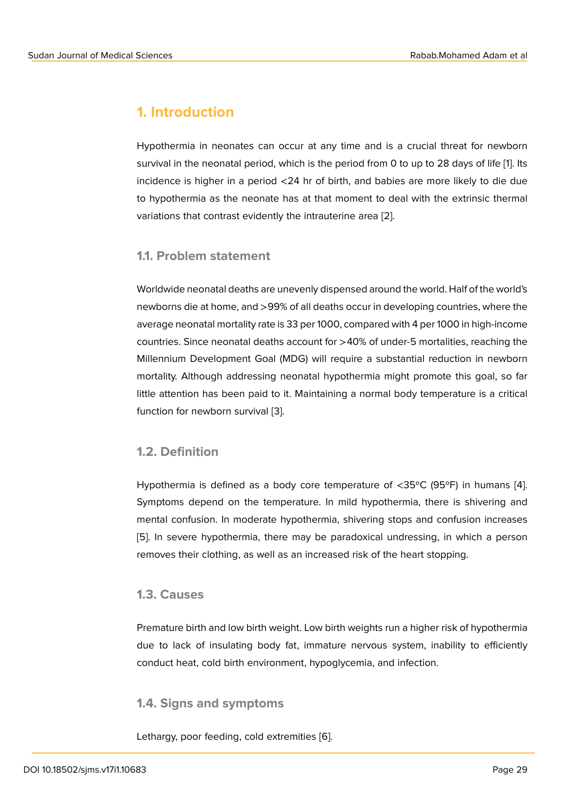# **1. Introduction**

Hypothermia in neonates can occur at any time and is a crucial threat for newborn survival in the neonatal period, which is the period from 0 to up to 28 days of life [1]. Its incidence is higher in a period <24 hr of birth, and babies are more likely to die due to hypothermia as the neonate has at that moment to deal with the extrinsic thermal variations that contrast evidently the intrauterine area [2].

#### **1.1. Problem statement**

Worldwide neonatal deaths are unevenly dispensed around the world. Half of the world's newborns die at home, and >99% of all deaths occur in developing countries, where the average neonatal mortality rate is 33 per 1000, compared with 4 per 1000 in high-income countries. Since neonatal deaths account for >40% of under-5 mortalities, reaching the Millennium Development Goal (MDG) will require a substantial reduction in newborn mortality. Although addressing neonatal hypothermia might promote this goal, so far little attention has been paid to it. Maintaining a normal body temperature is a critical function for newborn survival [3].

### **1.2. Definition**

Hypothermia is defined as a body core temperature of <35ºC (95ºF) in humans [4]. Symptoms depend on the temperature. In mild hypothermia, there is shivering and mental confusion. In moderate hypothermia, shivering stops and confusion increases [5]. In severe hypothermia, there may be paradoxical undressing, in which a pers[on](#page-9-0) removes their clothing, as well as an increased risk of the heart stopping.

#### **[1.](#page-9-1)3. Causes**

Premature birth and low birth weight. Low birth weights run a higher risk of hypothermia due to lack of insulating body fat, immature nervous system, inability to efficiently conduct heat, cold birth environment, hypoglycemia, and infection.

#### **1.4. Signs and symptoms**

Lethargy, poor feeding, cold extremities [6].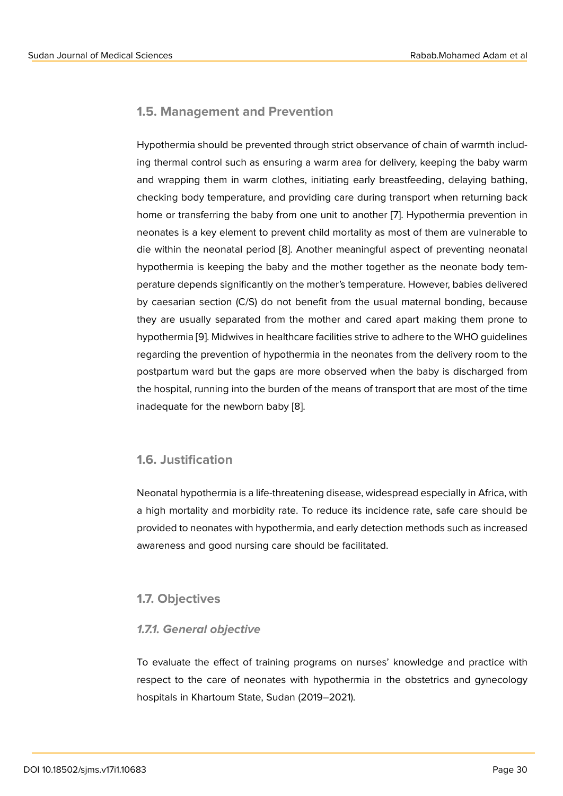### **1.5. Management and Prevention**

Hypothermia should be prevented through strict observance of chain of warmth including thermal control such as ensuring a warm area for delivery, keeping the baby warm and wrapping them in warm clothes, initiating early breastfeeding, delaying bathing, checking body temperature, and providing care during transport when returning back home or transferring the baby from one unit to another [7]. Hypothermia prevention in neonates is a key element to prevent child mortality as most of them are vulnerable to die within the neonatal period [8]. Another meaningful aspect of preventing neonatal hypothermia is keeping the baby and the mother toget[he](#page-9-2)r as the neonate body temperature depends significantly on the mother's temperature. However, babies delivered by caesarian section (C/S) do [no](#page-9-3)t benefit from the usual maternal bonding, because they are usually separated from the mother and cared apart making them prone to hypothermia [9]. Midwives in healthcare facilities strive to adhere to the WHO guidelines regarding the prevention of hypothermia in the neonates from the delivery room to the postpartum ward but the gaps are more observed when the baby is discharged from the hospital, r[un](#page-10-0)ning into the burden of the means of transport that are most of the time inadequate for the newborn baby [8].

#### **1.6. Justification**

Neonatal hypothermia is a life-threatening disease, widespread especially in Africa, with a high mortality and morbidity rate. To reduce its incidence rate, safe care should be provided to neonates with hypothermia, and early detection methods such as increased awareness and good nursing care should be facilitated.

### **1.7. Objectives**

#### *1.7.1. General objective*

To evaluate the effect of training programs on nurses' knowledge and practice with respect to the care of neonates with hypothermia in the obstetrics and gynecology hospitals in Khartoum State, Sudan (2019–2021).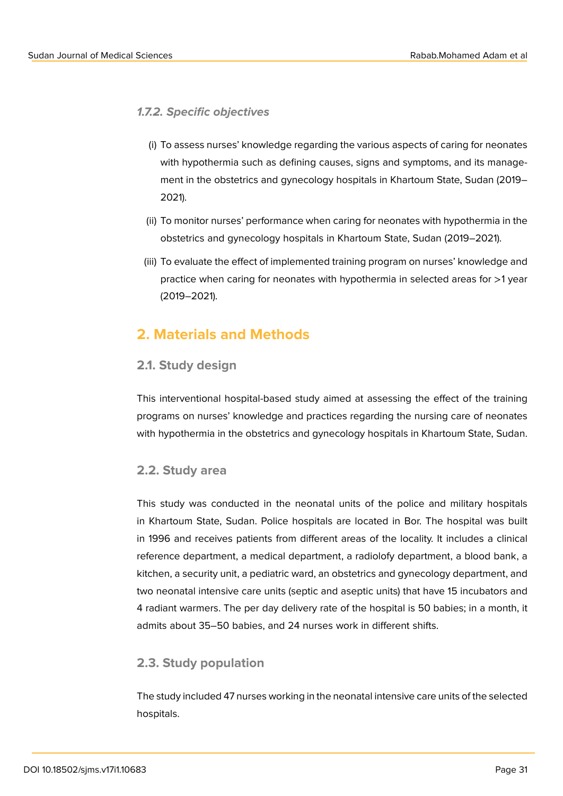*1.7.2. Specific objectives*

- (i) To assess nurses' knowledge regarding the various aspects of caring for neonates with hypothermia such as defining causes, signs and symptoms, and its management in the obstetrics and gynecology hospitals in Khartoum State, Sudan (2019– 2021).
- (ii) To monitor nurses' performance when caring for neonates with hypothermia in the obstetrics and gynecology hospitals in Khartoum State, Sudan (2019–2021).
- (iii) To evaluate the effect of implemented training program on nurses' knowledge and practice when caring for neonates with hypothermia in selected areas for >1 year (2019–2021).

# **2. Materials and Methods**

### **2.1. Study design**

This interventional hospital-based study aimed at assessing the effect of the training programs on nurses' knowledge and practices regarding the nursing care of neonates with hypothermia in the obstetrics and gynecology hospitals in Khartoum State, Sudan.

### **2.2. Study area**

This study was conducted in the neonatal units of the police and military hospitals in Khartoum State, Sudan. Police hospitals are located in Bor. The hospital was built in 1996 and receives patients from different areas of the locality. It includes a clinical reference department, a medical department, a radiolofy department, a blood bank, a kitchen, a security unit, a pediatric ward, an obstetrics and gynecology department, and two neonatal intensive care units (septic and aseptic units) that have 15 incubators and 4 radiant warmers. The per day delivery rate of the hospital is 50 babies; in a month, it admits about 35–50 babies, and 24 nurses work in different shifts.

### **2.3. Study population**

The study included 47 nurses working in the neonatal intensive care units of the selected hospitals.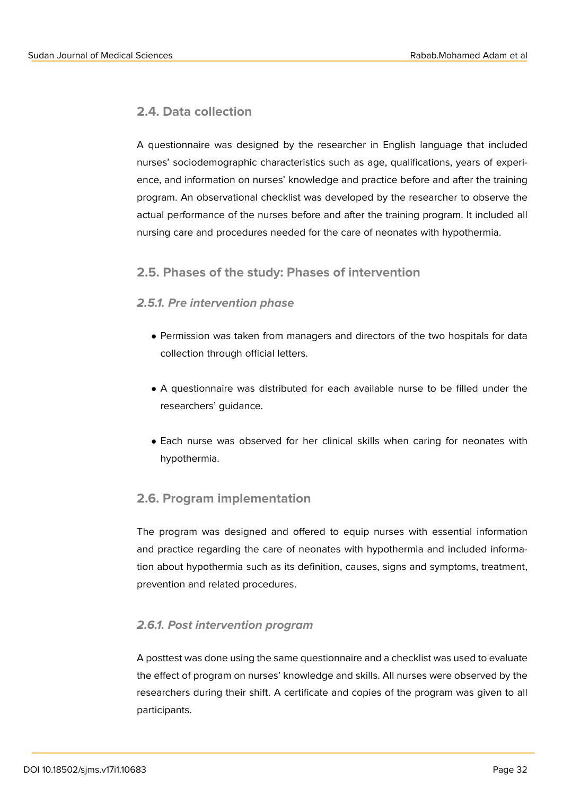### **2.4. Data collection**

A questionnaire was designed by the researcher in English language that included nurses' sociodemographic characteristics such as age, qualifications, years of experience, and information on nurses' knowledge and practice before and after the training program. An observational checklist was developed by the researcher to observe the actual performance of the nurses before and after the training program. It included all nursing care and procedures needed for the care of neonates with hypothermia.

### **2.5. Phases of the study: Phases of intervention**

#### *2.5.1. Pre intervention phase*

- Permission was taken from managers and directors of the two hospitals for data collection through official letters.
- A questionnaire was distributed for each available nurse to be filled under the researchers' guidance.
- Each nurse was observed for her clinical skills when caring for neonates with hypothermia.

### **2.6. Program implementation**

The program was designed and offered to equip nurses with essential information and practice regarding the care of neonates with hypothermia and included information about hypothermia such as its definition, causes, signs and symptoms, treatment, prevention and related procedures.

#### *2.6.1. Post intervention program*

A posttest was done using the same questionnaire and a checklist was used to evaluate the effect of program on nurses' knowledge and skills. All nurses were observed by the researchers during their shift. A certificate and copies of the program was given to all participants.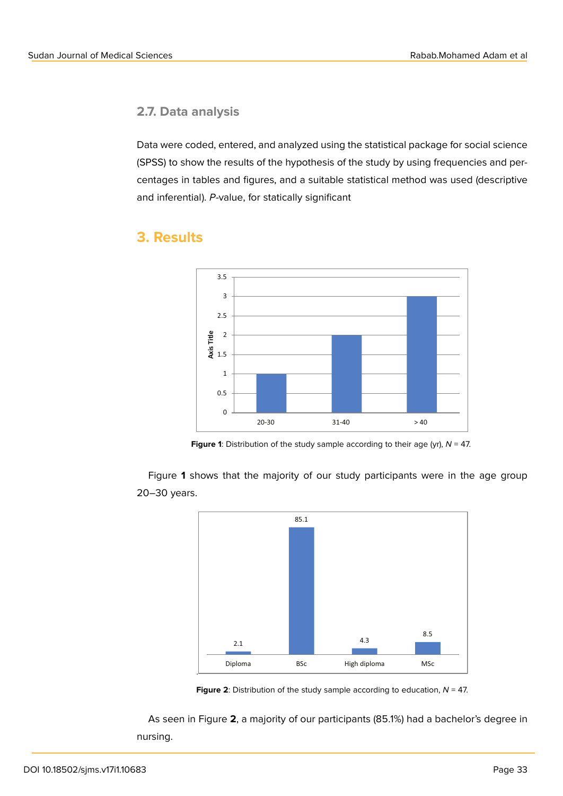### **2.7. Data analysis**

Data were coded, entered, and analyzed using the statistical package for social science (SPSS) to show the results of the hypothesis of the study by using frequencies and percentages in tables and figures, and a suitable statistical method was used (descriptive and inferential). *P*-value, for statically significant



### **3. Results**



Figure **1** shows that the majority of our study participants were in the age group 20–30 years.



**Figure 2**: Distribution of the study sample according to education, *N* = 47.

As seen in Figure **2**, a majority of our participants (85.1%) had a bachelor's degree in nursing.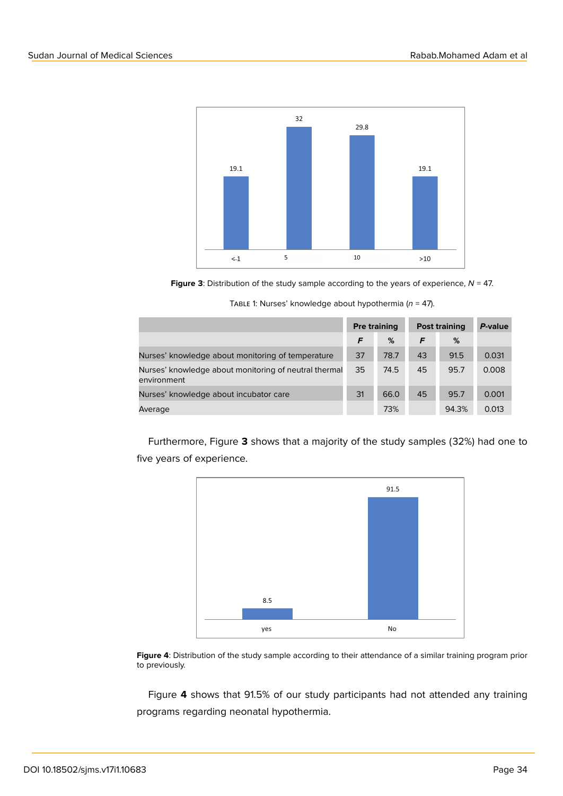

**Figure 3**: Distribution of the study sample according to the years of experience,  $N = 47$ .

|                                                                      | <b>Pre training</b> |      | <b>Post training</b> |       | P-value |
|----------------------------------------------------------------------|---------------------|------|----------------------|-------|---------|
|                                                                      | F                   | %    | F                    | %     |         |
| Nurses' knowledge about monitoring of temperature                    | 37                  | 78.7 | 43                   | 91.5  | 0.031   |
| Nurses' knowledge about monitoring of neutral thermal<br>environment | 35                  | 74.5 | 45                   | 95.7  | 0.008   |
| Nurses' knowledge about incubator care                               | 31                  | 66.0 | 45                   | 95.7  | 0.001   |
| Average                                                              |                     | 73%  |                      | 94.3% | 0.013   |

Table 1: Nurses' knowledge about hypothermia (*n* = 47).

Furthermore, Figure **3** shows that a majority of the study samples (32%) had one to five years of experience.



**Figure 4**: Distribution of the study sample according to their attendance of a similar training program prior to previously.

Figure **4** shows that 91.5% of our study participants had not attended any training programs regarding neonatal hypothermia.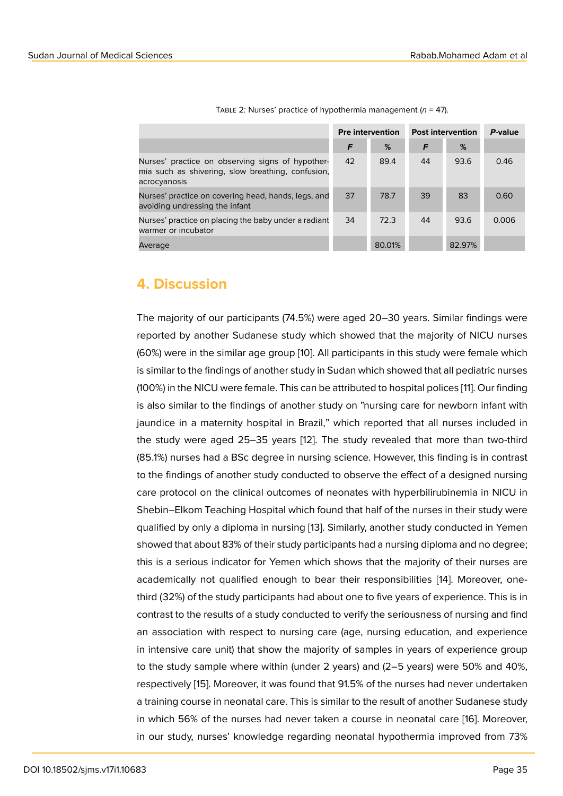| TABLE 2: Nurses' practice of hypothermia management ( $n = 47$ ). |  |
|-------------------------------------------------------------------|--|
|                                                                   |  |

|                                                                                                                       | <b>Pre intervention</b> |        | <b>Post intervention</b> |        | P-value |
|-----------------------------------------------------------------------------------------------------------------------|-------------------------|--------|--------------------------|--------|---------|
|                                                                                                                       | F                       | %      | F                        | %      |         |
| Nurses' practice on observing signs of hypother-<br>mia such as shivering, slow breathing, confusion,<br>acrocyanosis | 42                      | 89.4   | 44                       | 93.6   | 0.46    |
| Nurses' practice on covering head, hands, legs, and<br>avoiding undressing the infant                                 | 37                      | 78.7   | 39                       | 83     | 0.60    |
| Nurses' practice on placing the baby under a radiant<br>warmer or incubator                                           | 34                      | 72.3   | 44                       | 93.6   | 0.006   |
| Average                                                                                                               |                         | 80.01% |                          | 82.97% |         |

### **4. Discussion**

The majority of our participants (74.5%) were aged 20–30 years. Similar findings were reported by another Sudanese study which showed that the majority of NICU nurses (60%) were in the similar age group [10]. All participants in this study were female which is similar to the findings of another study in Sudan which showed that all pediatric nurses (100%) in the NICU were female. This can be attributed to hospital polices [11]. Our finding is also similar to the findings of anot[he](#page-10-1)r study on "nursing care for newborn infant with jaundice in a maternity hospital in Brazil," which reported that all nurses included in the study were aged 25–35 years [12]. The study revealed that more [th](#page-10-2)an two-third (85.1%) nurses had a BSc degree in nursing science. However, this finding is in contrast to the findings of another study conducted to observe the effect of a designed nursing care protocol on the clinical outcom[es](#page-10-3) of neonates with hyperbilirubinemia in NICU in Shebin–Elkom Teaching Hospital which found that half of the nurses in their study were qualified by only a diploma in nursing [13]. Similarly, another study conducted in Yemen showed that about 83% of their study participants had a nursing diploma and no degree; this is a serious indicator for Yemen which shows that the majority of their nurses are academically not qualified enough to [b](#page-10-4)ear their responsibilities [14]. Moreover, onethird (32%) of the study participants had about one to five years of experience. This is in contrast to the results of a study conducted to verify the seriousness of nursing and find an association with respect to nursing care (age, nursing educati[on](#page-10-5), and experience in intensive care unit) that show the majority of samples in years of experience group to the study sample where within (under 2 years) and (2–5 years) were 50% and 40%, respectively [15]. Moreover, it was found that 91.5% of the nurses had never undertaken a training course in neonatal care. This is similar to the result of another Sudanese study in which 56% of the nurses had never taken a course in neonatal care [16]. Moreover, in our study, [nu](#page-10-6)rses' knowledge regarding neonatal hypothermia improved from 73%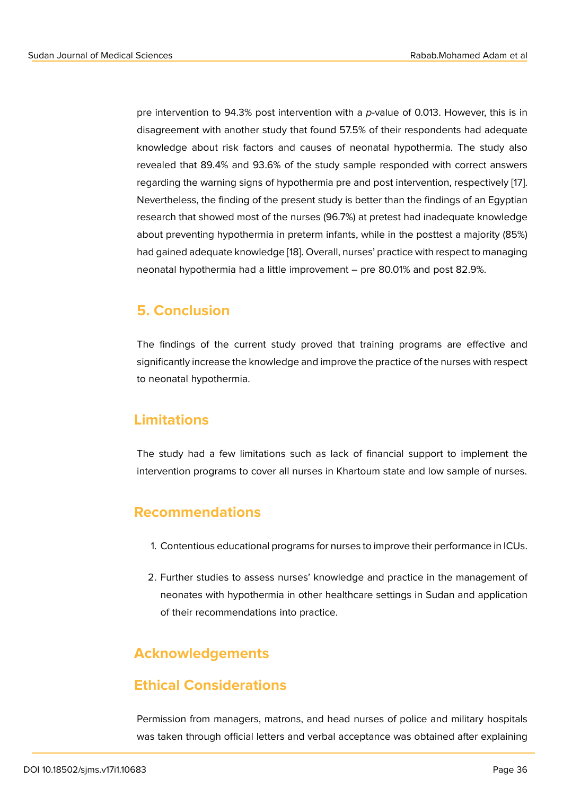pre intervention to 94.3% post intervention with a *p*-value of 0.013. However, this is in disagreement with another study that found 57.5% of their respondents had adequate knowledge about risk factors and causes of neonatal hypothermia. The study also revealed that 89.4% and 93.6% of the study sample responded with correct answers regarding the warning signs of hypothermia pre and post intervention, respectively [17]. Nevertheless, the finding of the present study is better than the findings of an Egyptian research that showed most of the nurses (96.7%) at pretest had inadequate knowledge about preventing hypothermia in preterm infants, while in the posttest a majority (8[5%](#page-10-7)) had gained adequate knowledge [18]. Overall, nurses' practice with respect to managing neonatal hypothermia had a little improvement – pre 80.01% and post 82.9%.

### **5. Conclusion**

The findings of the current study proved that training programs are effective and significantly increase the knowledge and improve the practice of the nurses with respect to neonatal hypothermia.

### **Limitations**

The study had a few limitations such as lack of financial support to implement the intervention programs to cover all nurses in Khartoum state and low sample of nurses.

## **Recommendations**

- 1. Contentious educational programs for nurses to improve their performance in ICUs.
- 2. Further studies to assess nurses' knowledge and practice in the management of neonates with hypothermia in other healthcare settings in Sudan and application of their recommendations into practice.

# **Acknowledgements**

## **Ethical Considerations**

Permission from managers, matrons, and head nurses of police and military hospitals was taken through official letters and verbal acceptance was obtained after explaining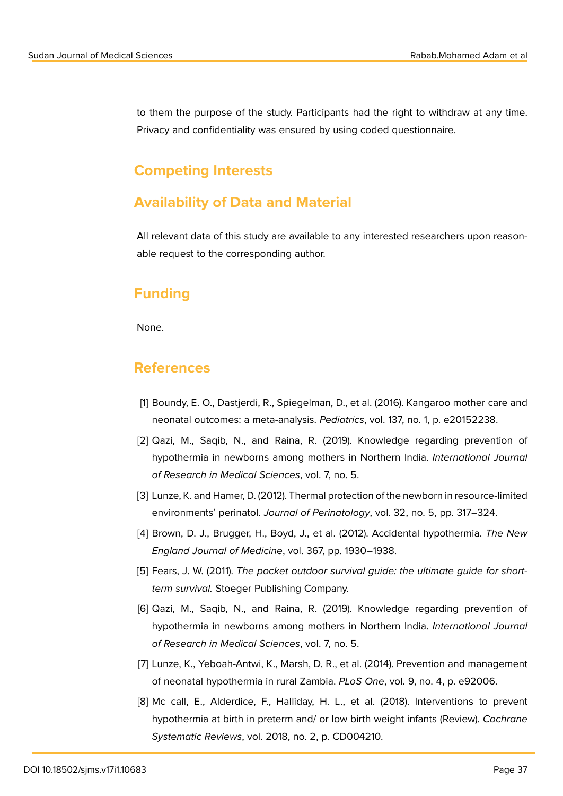to them the purpose of the study. Participants had the right to withdraw at any time. Privacy and confidentiality was ensured by using coded questionnaire.

### **Competing Interests**

### **Availability of Data and Material**

All relevant data of this study are available to any interested researchers upon reasonable request to the corresponding author.

### **Funding**

None.

### **References**

- [1] Boundy, E. O., Dastjerdi, R., Spiegelman, D., et al. (2016). Kangaroo mother care and neonatal outcomes: a meta-analysis. *Pediatrics*, vol. 137, no. 1, p. e20152238.
- [2] Qazi, M., Saqib, N., and Raina, R. (2019). Knowledge regarding prevention of hypothermia in newborns among mothers in Northern India. *International Journal of Research in Medical Sciences*, vol. 7, no. 5.
- [3] Lunze, K. and Hamer, D. (2012). Thermal protection of the newborn in resource-limited environments' perinatol. *Journal of Perinatology*, vol. 32, no. 5, pp. 317–324.
- <span id="page-9-0"></span>[4] Brown, D. J., Brugger, H., Boyd, J., et al. (2012). Accidental hypothermia. *The New England Journal of Medicine*, vol. 367, pp. 1930–1938.
- <span id="page-9-1"></span>[5] Fears, J. W. (2011). The pocket outdoor survival guide: the ultimate guide for short*term survival.* Stoeger Publishing Company.
- [6] Qazi, M., Saqib, N., and Raina, R. (2019). Knowledge regarding prevention of hypothermia in newborns among mothers in Northern India. *International Journal of Research in Medical Sciences*, vol. 7, no. 5.
- <span id="page-9-2"></span>[7] Lunze, K., Yeboah-Antwi, K., Marsh, D. R., et al. (2014). Prevention and management of neonatal hypothermia in rural Zambia. *PLoS One*, vol. 9, no. 4, p. e92006.
- <span id="page-9-3"></span>[8] Mc call, E., Alderdice, F., Halliday, H. L., et al. (2018). Interventions to prevent hypothermia at birth in preterm and/ or low birth weight infants (Review). *Cochrane Systematic Reviews*, vol. 2018, no. 2, p. CD004210.